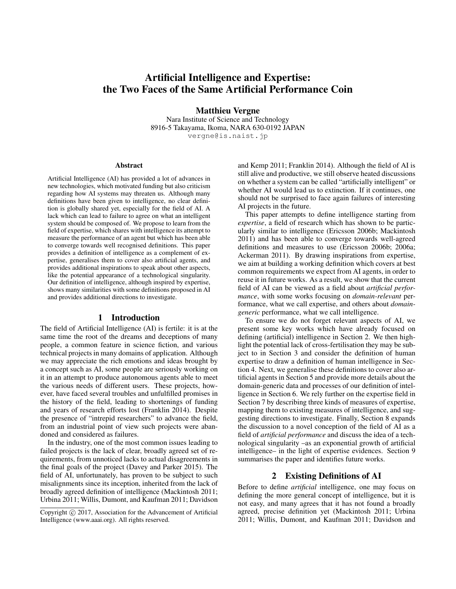# Artificial Intelligence and Expertise: the Two Faces of the Same Artificial Performance Coin

Matthieu Vergne Nara Institute of Science and Technology 8916-5 Takayama, Ikoma, NARA 630-0192 JAPAN vergne@is.naist.jp

#### Abstract

Artificial Intelligence (AI) has provided a lot of advances in new technologies, which motivated funding but also criticism regarding how AI systems may threaten us. Although many definitions have been given to intelligence, no clear definition is globally shared yet, especially for the field of AI. A lack which can lead to failure to agree on what an intelligent system should be composed of. We propose to learn from the field of expertise, which shares with intelligence its attempt to measure the performance of an agent but which has been able to converge towards well recognised definitions. This paper provides a definition of intelligence as a complement of expertise, generalises them to cover also artificial agents, and provides additional inspirations to speak about other aspects, like the potential appearance of a technological singularity. Our definition of intelligence, although inspired by expertise, shows many similarities with some definitions proposed in AI and provides additional directions to investigate.

#### 1 Introduction

The field of Artificial Intelligence (AI) is fertile: it is at the same time the root of the dreams and deceptions of many people, a common feature in science fiction, and various technical projects in many domains of application. Although we may appreciate the rich emotions and ideas brought by a concept such as AI, some people are seriously working on it in an attempt to produce autonomous agents able to meet the various needs of different users. These projects, however, have faced several troubles and unfulfilled promises in the history of the field, leading to shortenings of funding and years of research efforts lost (Franklin 2014). Despite the presence of "intrepid researchers" to advance the field, from an industrial point of view such projects were abandoned and considered as failures.

In the industry, one of the most common issues leading to failed projects is the lack of clear, broadly agreed set of requirements, from unnoticed lacks to actual disagreements in the final goals of the project (Davey and Parker 2015). The field of AI, unfortunately, has proven to be subject to such misalignments since its inception, inherited from the lack of broadly agreed definition of intelligence (Mackintosh 2011; Urbina 2011; Willis, Dumont, and Kaufman 2011; Davidson

and Kemp 2011; Franklin 2014). Although the field of AI is still alive and productive, we still observe heated discussions on whether a system can be called "artificially intelligent" or whether AI would lead us to extinction. If it continues, one should not be surprised to face again failures of interesting AI projects in the future.

This paper attempts to define intelligence starting from *expertise*, a field of research which has shown to be particularly similar to intelligence (Ericsson 2006b; Mackintosh 2011) and has been able to converge towards well-agreed definitions and measures to use (Ericsson 2006b; 2006a; Ackerman 2011). By drawing inspirations from expertise, we aim at building a working definition which covers at best common requirements we expect from AI agents, in order to reuse it in future works. As a result, we show that the current field of AI can be viewed as a field about *artificial performance*, with some works focusing on *domain-relevant* performance, what we call expertise, and others about *domaingeneric* performance, what we call intelligence.

To ensure we do not forget relevant aspects of AI, we present some key works which have already focused on defining (artificial) intelligence in Section 2. We then highlight the potential lack of cross-fertilisation they may be subject to in Section 3 and consider the definition of human expertise to draw a definition of human intelligence in Section 4. Next, we generalise these definitions to cover also artificial agents in Section 5 and provide more details about the domain-generic data and processes of our definition of intelligence in Section 6. We rely further on the expertise field in Section 7 by describing three kinds of measures of expertise, mapping them to existing measures of intelligence, and suggesting directions to investigate. Finally, Section 8 expands the discussion to a novel conception of the field of AI as a field of *artificial performance* and discuss the idea of a technological singularity –as an exponential growth of artificial intelligence– in the light of expertise evidences. Section 9 summarises the paper and identifies future works.

#### 2 Existing Definitions of AI

Before to define *artificial* intelligence, one may focus on defining the more general concept of intelligence, but it is not easy, and many agrees that it has not found a broadly agreed, precise definition yet (Mackintosh 2011; Urbina 2011; Willis, Dumont, and Kaufman 2011; Davidson and

Copyright © 2017, Association for the Advancement of Artificial Intelligence (www.aaai.org). All rights reserved.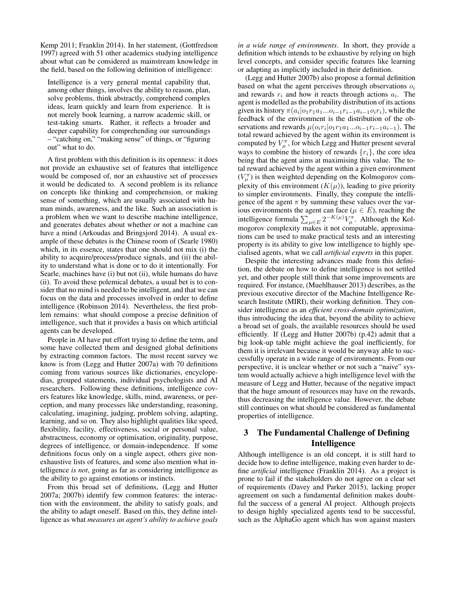Kemp 2011; Franklin 2014). In her statement, (Gottfredson 1997) agreed with 51 other academics studying intelligence about what can be considered as mainstream knowledge in the field, based on the following definition of intelligence:

Intelligence is a very general mental capability that, among other things, involves the ability to reason, plan, solve problems, think abstractly, comprehend complex ideas, learn quickly and learn from experience. It is not merely book learning, a narrow academic skill, or test-taking smarts. Rather, it reflects a broader and deeper capability for comprehending our surroundings – "catching on," "making sense" of things, or "figuring out" what to do.

A first problem with this definition is its openness: it does not provide an exhaustive set of features that intelligence would be composed of, nor an exhaustive set of processes it would be dedicated to. A second problem is its reliance on concepts like thinking and comprehension, or making sense of something, which are usually associated with human minds, awareness, and the like. Such an association is a problem when we want to describe machine intelligence, and generates debates about whether or not a machine can have a mind (Arkoudas and Bringsjord 2014). A usual example of these debates is the Chinese room of (Searle 1980) which, in its essence, states that one should not mix (i) the ability to acquire/process/produce signals, and (ii) the ability to understand what is done or to do it intentionally. For Searle, machines have (i) but not (ii), while humans do have (ii). To avoid these polemical debates, a usual bet is to consider that no mind is needed to be intelligent, and that we can focus on the data and processes involved in order to define intelligence (Robinson 2014). Nevertheless, the first problem remains: what should compose a precise definition of intelligence, such that it provides a basis on which artificial agents can be developed.

People in AI have put effort trying to define the term, and some have collected them and designed global definitions by extracting common factors. The most recent survey we know is from (Legg and Hutter 2007a) with 70 definitions coming from various sources like dictionaries, encyclopedias, grouped statements, individual psychologists and AI researchers. Following these definitions, intelligence covers features like knowledge, skills, mind, awareness, or perception, and many processes like understanding, reasoning, calculating, imagining, judging, problem solving, adapting, learning, and so on. They also highlight qualities like speed, flexibility, facility, effectiveness, social or personal value, abstractness, economy or optimisation, originality, purpose, degrees of intelligence, or domain-independence. If some definitions focus only on a single aspect, others give nonexhaustive lists of features, and some also mention what intelligence *is not*, going as far as considering intelligence as the ability to go against emotions or instincts.

From this broad set of definitions, (Legg and Hutter 2007a; 2007b) identify few common features: the interaction with the environment, the ability to satisfy goals, and the ability to adapt oneself. Based on this, they define intelligence as what *measures an agent's ability to achieve goals*

*in a wide range of environments*. In short, they provide a definition which intends to be exhaustive by relying on high level concepts, and consider specific features like learning or adapting as implicitly included in their definition.

(Legg and Hutter 2007b) also propose a formal definition based on what the agent perceives through observations  $o_i$ and rewards  $r_i$  and how it reacts through actions  $a_i$ . The agent is modelled as the probability distribution of its actions given its history  $\pi(a_i|o_1r_1a_1...o_{i-1}r_{i-1}a_{i-1}o_ir_i)$ , while the feedback of the environment is the distribution of the observations and rewards  $\mu(o_i r_i| o_1 r_1 a_1... o_{i-1} r_{i-1} a_{i-1})$ . The total reward achieved by the agent within its environment is computed by  $V_{\mu}^{\pi}$ , for which Legg and Hutter present several ways to combine the history of rewards  $\{r_i\}$ , the core idea being that the agent aims at maximising this value. The total reward achieved by the agent within a given environment  $(V_\mu^{\pi})$  is then weighted depending on the Kolmogorov complexity of this environment  $(K(\mu))$ , leading to give priority to simpler environments. Finally, they compute the intelligence of the agent  $\pi$  by summing these values over the various environments the agent can face ( $\mu \in E$ ), reaching the intelligence formula  $\sum_{\mu \in E} 2^{-K(\mu)} V_{\mu}^{\pi}$ . Although the Kolmogorov complexity makes it not computable, approximations can be used to make practical tests and an interesting property is its ability to give low intelligence to highly specialised agents, what we call *artificial experts* in this paper.

Despite the interesting advances made from this definition, the debate on how to define intelligence is not settled yet, and other people still think that some improvements are required. For instance, (Muehlhauser 2013) describes, as the previous executive director of the Machine Intelligence Research Institute (MIRI), their working definition. They consider intelligence as an *efficient cross-domain optimization*, thus introducing the idea that, beyond the ability to achieve a broad set of goals, the available resources should be used efficiently. If (Legg and Hutter 2007b) (p.42) admit that a big look-up table might achieve the goal inefficiently, for them it is irrelevant because it would be anyway able to successfully operate in a wide range of environments. From our perspective, it is unclear whether or not such a "naive" system would actually achieve a high intelligence level with the measure of Legg and Hutter, because of the negative impact that the huge amount of resources may have on the rewards, thus decreasing the intelligence value. However, the debate still continues on what should be considered as fundamental properties of intelligence.

# 3 The Fundamental Challenge of Defining Intelligence

Although intelligence is an old concept, it is still hard to decide how to define intelligence, making even harder to define *artificial* intelligence (Franklin 2014). As a project is prone to fail if the stakeholders do not agree on a clear set of requirements (Davey and Parker 2015), lacking proper agreement on such a fundamental definition makes doubtful the success of a general AI project. Although projects to design highly specialized agents tend to be successful, such as the AlphaGo agent which has won against masters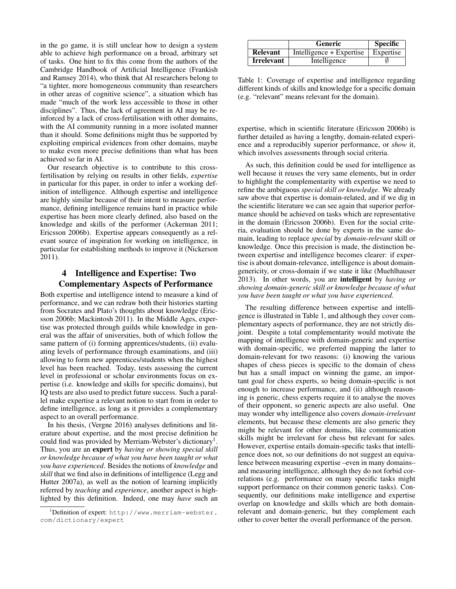in the go game, it is still unclear how to design a system able to achieve high performance on a broad, arbitrary set of tasks. One hint to fix this come from the authors of the Cambridge Handbook of Artificial Intelligence (Frankish and Ramsey 2014), who think that AI researchers belong to "a tighter, more homogeneous community than researchers in other areas of cognitive science", a situation which has made "much of the work less accessible to those in other disciplines". Thus, the lack of agreement in AI may be reinforced by a lack of cross-fertilisation with other domains, with the AI community running in a more isolated manner than it should. Some definitions might thus be supported by exploiting empirical evidences from other domains, maybe to make even more precise definitions than what has been achieved so far in AI.

Our research objective is to contribute to this crossfertilisation by relying on results in other fields, *expertise* in particular for this paper, in order to infer a working definition of intelligence. Although expertise and intelligence are highly similar because of their intent to measure performance, defining intelligence remains hard in practice while expertise has been more clearly defined, also based on the knowledge and skills of the performer (Ackerman 2011; Ericsson 2006b). Expertise appears consequently as a relevant source of inspiration for working on intelligence, in particular for establishing methods to improve it (Nickerson 2011).

# 4 Intelligence and Expertise: Two Complementary Aspects of Performance

Both expertise and intelligence intend to measure a kind of performance, and we can redraw both their histories starting from Socrates and Plato's thoughts about knowledge (Ericsson 2006b; Mackintosh 2011). In the Middle Ages, expertise was protected through guilds while knowledge in general was the affair of universities, both of which follow the same pattern of (i) forming apprentices/students, (ii) evaluating levels of performance through examinations, and (iii) allowing to form new apprentices/students when the highest level has been reached. Today, tests assessing the current level in professional or scholar environments focus on expertise (i.e. knowledge and skills for specific domains), but IQ tests are also used to predict future success. Such a parallel make expertise a relevant notion to start from in order to define intelligence, as long as it provides a complementary aspect to an overall performance.

In his thesis, (Vergne 2016) analyses definitions and literature about expertise, and the most precise definition he could find was provided by Merriam-Webster's dictionary<sup>1</sup>. Thus, you are an expert by *having or showing special skill or knowledge because of what you have been taught or what you have experienced*. Besides the notions of *knowledge* and *skill* that we find also in definitions of intelligence (Legg and Hutter 2007a), as well as the notion of learning implicitly referred by *teaching* and *experience*, another aspect is highlighted by this definition. Indeed, one may *have* such an

|                   | <b>Generic</b>           | <b>Specific</b> |
|-------------------|--------------------------|-----------------|
| <b>Relevant</b>   | Intelligence + Expertise | Expertise       |
| <b>Irrelevant</b> | Intelligence             |                 |

Table 1: Coverage of expertise and intelligence regarding different kinds of skills and knowledge for a specific domain (e.g. "relevant" means relevant for the domain).

expertise, which in scientific literature (Ericsson 2006b) is further detailed as having a lengthy, domain-related experience and a reproducibly superior performance, or *show* it, which involves assessments through social criteria.

As such, this definition could be used for intelligence as well because it reuses the very same elements, but in order to highlight the complementarity with expertise we need to refine the ambiguous *special skill or knowledge*. We already saw above that expertise is domain-related, and if we dig in the scientific literature we can see again that superior performance should be achieved on tasks which are representative in the domain (Ericsson 2006b). Even for the social criteria, evaluation should be done by experts in the same domain, leading to replace *special* by *domain-relevant* skill or knowledge. Once this precision is made, the distinction between expertise and intelligence becomes clearer: if expertise is about domain-relevance, intelligence is about domaingenericity, or cross-domain if we state it like (Muehlhauser 2013). In other words, you are intelligent by *having or showing domain-generic skill or knowledge because of what you have been taught or what you have experienced*.

The resulting difference between expertise and intelligence is illustrated in Table 1, and although they cover complementary aspects of performance, they are not strictly disjoint. Despite a total complementarity would motivate the mapping of intelligence with domain-generic and expertise with domain-specific, we preferred mapping the latter to domain-relevant for two reasons: (i) knowing the various shapes of chess pieces is specific to the domain of chess but has a small impact on winning the game, an important goal for chess experts, so being domain-specific is not enough to increase performance, and (ii) although reasoning is generic, chess experts require it to analyse the moves of their opponent, so generic aspects are also useful. One may wonder why intelligence also covers *domain-irrelevant* elements, but because these elements are also generic they might be relevant for other domains, like communication skills might be irrelevant for chess but relevant for sales. However, expertise entails domain-specific tasks that intelligence does not, so our definitions do not suggest an equivalence between measuring expertise –even in many domains– and measuring intelligence, although they do not forbid correlations (e.g. performance on many specific tasks might support performance on their common generic tasks). Consequently, our definitions make intelligence and expertise overlap on knowledge and skills which are both domainrelevant and domain-generic, but they complement each other to cover better the overall performance of the person.

 $1$ Definition of expert: http://www.merriam-webster. com/dictionary/expert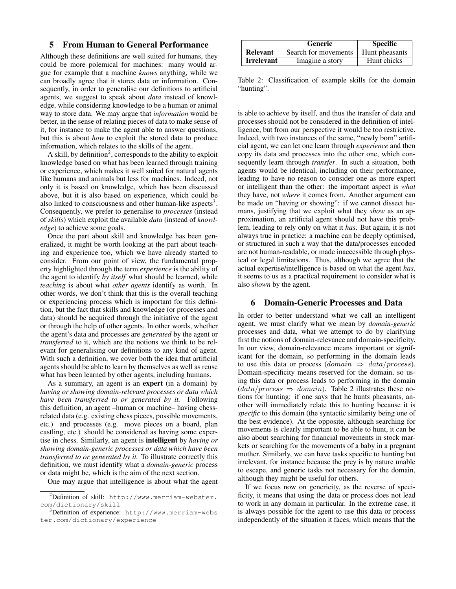### 5 From Human to General Performance

Although these definitions are well suited for humans, they could be more polemical for machines: many would argue for example that a machine *knows* anything, while we can broadly agree that it stores data or information. Consequently, in order to generalise our definitions to artificial agents, we suggest to speak about *data* instead of knowledge, while considering knowledge to be a human or animal way to store data. We may argue that *information* would be better, in the sense of relating pieces of data to make sense of it, for instance to make the agent able to answer questions, but this is about *how* to exploit the stored data to produce information, which relates to the skills of the agent.

A skill, by definition<sup>2</sup>, corresponds to the ability to exploit knowledge based on what has been learned through training or experience, which makes it well suited for natural agents like humans and animals but less for machines. Indeed, not only it is based on knowledge, which has been discussed above, but it is also based on experience, which could be also linked to consciousness and other human-like aspects<sup>3</sup>. Consequently, we prefer to generalise to *processes* (instead of *skills*) which exploit the available *data* (instead of *knowledge*) to achieve some goals.

Once the part about skill and knowledge has been generalized, it might be worth looking at the part about teaching and experience too, which we have already started to consider. From our point of view, the fundamental property highlighted through the term *experience* is the ability of the agent to identify *by itself* what should be learned, while *teaching* is about what *other agents* identify as worth. In other words, we don't think that this is the overall teaching or experiencing process which is important for this definition, but the fact that skills and knowledge (or processes and data) should be acquired through the initiative of the agent or through the help of other agents. In other words, whether the agent's data and processes are *generated* by the agent or *transferred* to it, which are the notions we think to be relevant for generalising our definitions to any kind of agent. With such a definition, we cover both the idea that artificial agents should be able to learn by themselves as well as reuse what has been learned by other agents, including humans.

As a summary, an agent is an expert (in a domain) by *having or showing domain-relevant processes or data which have been transferred to or generated by it.* Following this definition, an agent –human or machine– having chessrelated data (e.g. existing chess pieces, possible movements, etc.) and processes (e.g. move pieces on a board, plan castling, etc.) should be considered as having some expertise in chess. Similarly, an agent is intelligent by *having or showing domain-generic processes or data which have been transferred to or generated by it.* To illustrate correctly this definition, we must identify what a *domain-generic* process or data might be, which is the aim of the next section.

One may argue that intelligence is about what the agent

|                   | <b>Generic</b>       | <b>Specific</b> |
|-------------------|----------------------|-----------------|
| <b>Relevant</b>   | Search for movements | Hunt pheasants  |
| <b>Irrelevant</b> | Imagine a story      | Hunt chicks     |

Table 2: Classification of example skills for the domain "hunting".

is able to achieve by itself, and thus the transfer of data and processes should not be considered in the definition of intelligence, but from our perspective it would be too restrictive. Indeed, with two instances of the same, "newly born" artificial agent, we can let one learn through *experience* and then copy its data and processes into the other one, which consequently learn through *transfer*. In such a situation, both agents would be identical, including on their performance, leading to have no reason to consider one as more expert or intelligent than the other: the important aspect is *what* they have, not *where* it comes from. Another argument can be made on "having or showing": if we cannot dissect humans, justifying that we exploit what they *show* as an approximation, an artificial agent should not have this problem, leading to rely only on what it *has*. But again, it is not always true in practice: a machine can be deeply optimised, or structured in such a way that the data/processes encoded are not human-readable, or made inaccessible through physical or legal limitations. Thus, although we agree that the actual expertise/intelligence is based on what the agent *has*, it seems to us as a practical requirement to consider what is also *shown* by the agent.

#### 6 Domain-Generic Processes and Data

In order to better understand what we call an intelligent agent, we must clarify what we mean by *domain-generic* processes and data, what we attempt to do by clarifying first the notions of domain-relevance and domain-specificity. In our view, domain-relevance means important or significant for the domain, so performing in the domain leads to use this data or process (domain  $\Rightarrow$  data/process). Domain-specificity means reserved for the domain, so using this data or process leads to performing in the domain  $(data/process \Rightarrow domain)$ . Table 2 illustrates these notions for hunting: if one says that he hunts pheasants, another will immediately relate this to hunting because it is *specific* to this domain (the syntactic similarity being one of the best evidence). At the opposite, although searching for movements is clearly important to be able to hunt, it can be also about searching for financial movements in stock markets or searching for the movements of a baby in a pregnant mother. Similarly, we can have tasks specific to hunting but irrelevant, for instance because the prey is by nature unable to escape, and generic tasks not necessary for the domain, although they might be useful for others.

If we focus now on genericity, as the reverse of specificity, it means that using the data or process does not lead to work in any domain in particular. In the extreme case, it is always possible for the agent to use this data or process independently of the situation it faces, which means that the

<sup>&</sup>lt;sup>2</sup>Definition of skill: http://www.merriam-webster. com/dictionary/skill

<sup>3</sup>Definition of experience: http://www.merriam-webs ter.com/dictionary/experience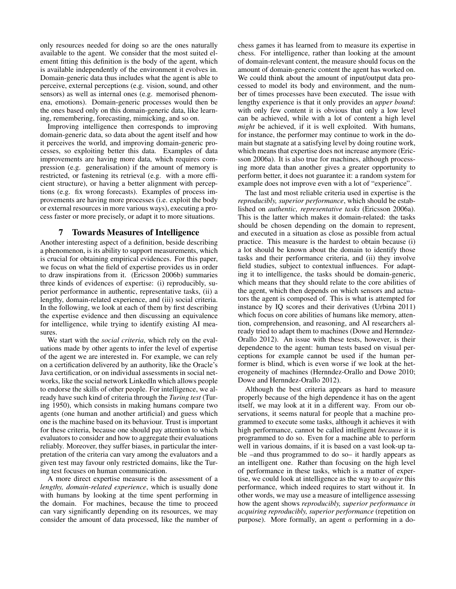only resources needed for doing so are the ones naturally available to the agent. We consider that the most suited element fitting this definition is the body of the agent, which is available independently of the environment it evolves in. Domain-generic data thus includes what the agent is able to perceive, external perceptions (e.g. vision, sound, and other sensors) as well as internal ones (e.g. memorised phenomena, emotions). Domain-generic processes would then be the ones based only on this domain-generic data, like learning, remembering, forecasting, mimicking, and so on.

Improving intelligence then corresponds to improving domain-generic data, so data about the agent itself and how it perceives the world, and improving domain-generic processes, so exploiting better this data. Examples of data improvements are having more data, which requires compression (e.g. generalisation) if the amount of memory is restricted, or fastening its retrieval (e.g. with a more efficient structure), or having a better alignment with perceptions (e.g. fix wrong forecasts). Examples of process improvements are having more processes (i.e. exploit the body or external resources in more various ways), executing a process faster or more precisely, or adapt it to more situations.

#### 7 Towards Measures of Intelligence

Another interesting aspect of a definition, beside describing a phenomenon, is its ability to support measurements, which is crucial for obtaining empirical evidences. For this paper, we focus on what the field of expertise provides us in order to draw inspirations from it. (Ericsson 2006b) summaries three kinds of evidences of expertise: (i) reproducibly, superior performance in authentic, representative tasks, (ii) a lengthy, domain-related experience, and (iii) social criteria. In the following, we look at each of them by first describing the expertise evidence and then discussing an equivalence for intelligence, while trying to identify existing AI measures.

We start with the *social criteria*, which rely on the evaluations made by other agents to infer the level of expertise of the agent we are interested in. For example, we can rely on a certification delivered by an authority, like the Oracle's Java certification, or on individual assessments in social networks, like the social network LinkedIn which allows people to endorse the skills of other people. For intelligence, we already have such kind of criteria through the *Turing test* (Turing 1950), which consists in making humans compare two agents (one human and another artificial) and guess which one is the machine based on its behaviour. Trust is important for these criteria, because one should pay attention to which evaluators to consider and how to aggregate their evaluations reliably. Moreover, they suffer biases, in particular the interpretation of the criteria can vary among the evaluators and a given test may favour only restricted domains, like the Turing test focuses on human communication.

A more direct expertise measure is the assessment of a *lengthy, domain-related experience*, which is usually done with humans by looking at the time spent performing in the domain. For machines, because the time to proceed can vary significantly depending on its resources, we may consider the amount of data processed, like the number of chess games it has learned from to measure its expertise in chess. For intelligence, rather than looking at the amount of domain-relevant content, the measure should focus on the amount of domain-generic content the agent has worked on. We could think about the amount of input/output data processed to model its body and environment, and the number of times processes have been executed. The issue with lengthy experience is that it only provides an *upper bound*: with only few content it is obvious that only a low level can be achieved, while with a lot of content a high level *might* be achieved, if it is well exploited. With humans, for instance, the performer may continue to work in the domain but stagnate at a satisfying level by doing routine work, which means that expertise does not increase anymore (Ericsson 2006a). It is also true for machines, although processing more data than another gives a greater opportunity to perform better, it does not guarantee it: a random system for example does not improve even with a lot of "experience".

The last and most reliable criteria used in expertise is the *reproducibly, superior performance*, which should be established on *authentic, representative tasks* (Ericsson 2006a). This is the latter which makes it domain-related: the tasks should be chosen depending on the domain to represent, and executed in a situation as close as possible from actual practice. This measure is the hardest to obtain because (i) a lot should be known about the domain to identify those tasks and their performance criteria, and (ii) they involve field studies, subject to contextual influences. For adapting it to intelligence, the tasks should be domain-generic, which means that they should relate to the core abilities of the agent, which then depends on which sensors and actuators the agent is composed of. This is what is attempted for instance by IQ scores and their derivatives (Urbina 2011) which focus on core abilities of humans like memory, attention, comprehension, and reasoning, and AI researchers already tried to adapt them to machines (Dowe and Hernndez-Orallo 2012). An issue with these tests, however, is their dependence to the agent: human tests based on visual perceptions for example cannot be used if the human performer is blind, which is even worse if we look at the heterogeneity of machines (Hernndez-Orallo and Dowe 2010; Dowe and Hernndez-Orallo 2012).

Although the best criteria appears as hard to measure properly because of the high dependence it has on the agent itself, we may look at it in a different way. From our observations, it seems natural for people that a machine programmed to execute some tasks, although it achieves it with high performance, cannot be called intelligent *because* it is programmed to do so. Even for a machine able to perform well in various domains, if it is based on a vast look-up table –and thus programmed to do so– it hardly appears as an intelligent one. Rather than focusing on the high level of performance in these tasks, which is a matter of expertise, we could look at intelligence as the way to *acquire* this performance, which indeed requires to start without it. In other words, we may use a measure of intelligence assessing how the agent shows *reproducibly, superior performance in acquiring reproducibly, superior performance* (repetition on purpose). More formally, an agent a performing in a do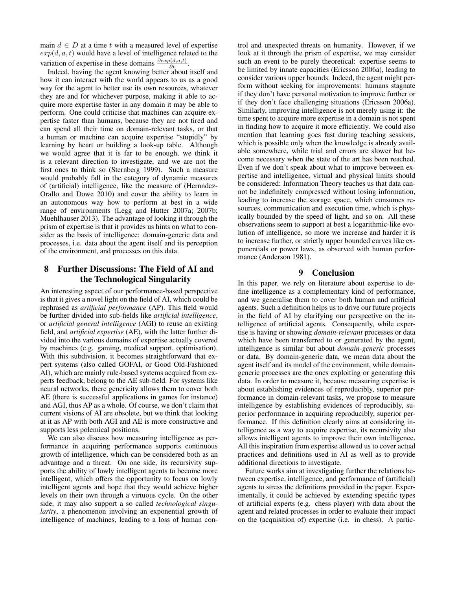main  $d \in D$  at a time t with a measured level of expertise  $exp(d, a, t)$  would have a level of intelligence related to the variation of expertise in these domains  $\frac{\partial exp(d, a, t)}{\partial t}$ .

Indeed, having the agent knowing better about itself and how it can interact with the world appears to us as a good way for the agent to better use its own resources, whatever they are and for whichever purpose, making it able to acquire more expertise faster in any domain it may be able to perform. One could criticise that machines can acquire expertise faster than humans, because they are not tired and can spend all their time on domain-relevant tasks, or that a human or machine can acquire expertise "stupidly" by learning by heart or building a look-up table. Although we would agree that it is far to be enough, we think it is a relevant direction to investigate, and we are not the first ones to think so (Sternberg 1999). Such a measure would probably fall in the category of dynamic measures of (artificial) intelligence, like the measure of (Hernndez-Orallo and Dowe 2010) and cover the ability to learn in an autonomous way how to perform at best in a wide range of environments (Legg and Hutter 2007a; 2007b; Muehlhauser 2013). The advantage of looking it through the prism of expertise is that it provides us hints on what to consider as the basis of intelligence: domain-generic data and processes, i.e. data about the agent itself and its perception of the environment, and processes on this data.

# 8 Further Discussions: The Field of AI and the Technological Singularity

An interesting aspect of our performance-based perspective is that it gives a novel light on the field of AI, which could be rephrased as *artificial performance* (AP). This field would be further divided into sub-fields like *artificial intelligence*, or *artificial general intelligence* (AGI) to reuse an existing field, and *artificial expertise* (AE), with the latter further divided into the various domains of expertise actually covered by machines (e.g. gaming, medical support, optimisation). With this subdivision, it becomes straightforward that expert systems (also called GOFAI, or Good Old-Fashioned AI), which are mainly rule-based systems acquired from experts feedback, belong to the AE sub-field. For systems like neural networks, there genericity allows them to cover both AE (there is successful applications in games for instance) and AGI, thus AP as a whole. Of course, we don't claim that current visions of AI are obsolete, but we think that looking at it as AP with both AGI and AE is more constructive and supports less polemical positions.

We can also discuss how measuring intelligence as performance in acquiring performance supports continuous growth of intelligence, which can be considered both as an advantage and a threat. On one side, its recursivity supports the ability of lowly intelligent agents to become more intelligent, which offers the opportunity to focus on lowly intelligent agents and hope that they would achieve higher levels on their own through a virtuous cycle. On the other side, it may also support a so called *technological singularity*, a phenomenon involving an exponential growth of intelligence of machines, leading to a loss of human con-

trol and unexpected threats on humanity. However, if we look at it through the prism of expertise, we may consider such an event to be purely theoretical: expertise seems to be limited by innate capacities (Ericsson 2006a), leading to consider various upper bounds. Indeed, the agent might perform without seeking for improvements: humans stagnate if they don't have personal motivation to improve further or if they don't face challenging situations (Ericsson 2006a). Similarly, improving intelligence is not merely using it: the time spent to acquire more expertise in a domain is not spent in finding how to acquire it more efficiently. We could also mention that learning goes fast during teaching sessions, which is possible only when the knowledge is already available somewhere, while trial and errors are slower but become necessary when the state of the art has been reached. Even if we don't speak about what to improve between expertise and intelligence, virtual and physical limits should be considered: Information Theory teaches us that data cannot be indefinitely compressed without losing information, leading to increase the storage space, which consumes resources, communication and execution time, which is physically bounded by the speed of light, and so on. All these observations seem to support at best a logarithmic-like evolution of intelligence, so more we increase and harder it is to increase further, or strictly upper bounded curves like exponentials or power laws, as observed with human performance (Anderson 1981).

### 9 Conclusion

In this paper, we rely on literature about expertise to define intelligence as a complementary kind of performance, and we generalise them to cover both human and artificial agents. Such a definition helps us to drive our future projects in the field of AI by clarifying our perspective on the intelligence of artificial agents. Consequently, while expertise is having or showing *domain-relevant* processes or data which have been transferred to or generated by the agent, intelligence is similar but about *domain-generic* processes or data. By domain-generic data, we mean data about the agent itself and its model of the environment, while domaingeneric processes are the ones exploiting or generating this data. In order to measure it, because measuring expertise is about establishing evidences of reproducibly, superior performance in domain-relevant tasks, we propose to measure intelligence by establishing evidences of reproducibly, superior performance in acquiring reproducibly, superior performance. If this definition clearly aims at considering intelligence as a way to acquire expertise, its recursivity also allows intelligent agents to improve their own intelligence. All this inspiration from expertise allowed us to cover actual practices and definitions used in AI as well as to provide additional directions to investigate.

Future works aim at investigating further the relations between expertise, intelligence, and performance of (artificial) agents to stress the definitions provided in the paper. Experimentally, it could be achieved by extending specific types of artificial experts (e.g. chess player) with data about the agent and related processes in order to evaluate their impact on the (acquisition of) expertise (i.e. in chess). A partic